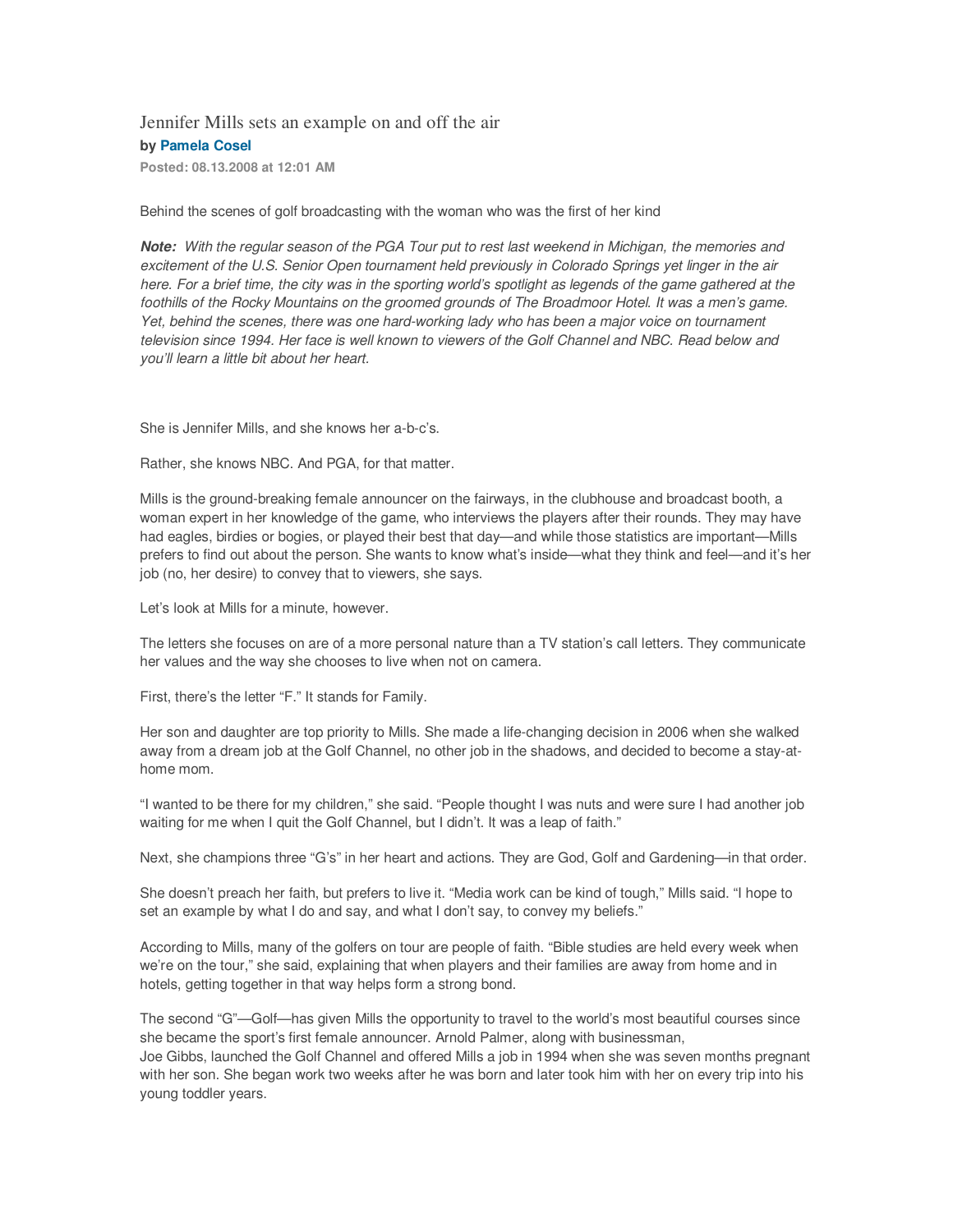## Jennifer Mills sets an example on and off the air **by Pamela Cosel**

**Posted: 08.13.2008 at 12:01 AM** 

Behind the scenes of golf broadcasting with the woman who was the first of her kind

**Note:** With the regular season of the PGA Tour put to rest last weekend in Michigan, the memories and excitement of the U.S. Senior Open tournament held previously in Colorado Springs yet linger in the air here. For a brief time, the city was in the sporting world's spotlight as legends of the game gathered at the foothills of the Rocky Mountains on the groomed grounds of The Broadmoor Hotel. It was a men's game. Yet, behind the scenes, there was one hard-working lady who has been a major voice on tournament television since 1994. Her face is well known to viewers of the Golf Channel and NBC. Read below and you'll learn a little bit about her heart.

She is Jennifer Mills, and she knows her a-b-c's.

Rather, she knows NBC. And PGA, for that matter.

Mills is the ground-breaking female announcer on the fairways, in the clubhouse and broadcast booth, a woman expert in her knowledge of the game, who interviews the players after their rounds. They may have had eagles, birdies or bogies, or played their best that day—and while those statistics are important—Mills prefers to find out about the person. She wants to know what's inside—what they think and feel—and it's her job (no, her desire) to convey that to viewers, she says.

Let's look at Mills for a minute, however.

The letters she focuses on are of a more personal nature than a TV station's call letters. They communicate her values and the way she chooses to live when not on camera.

First, there's the letter "F." It stands for Family.

Her son and daughter are top priority to Mills. She made a life-changing decision in 2006 when she walked away from a dream job at the Golf Channel, no other job in the shadows, and decided to become a stay-athome mom.

"I wanted to be there for my children," she said. "People thought I was nuts and were sure I had another job waiting for me when I quit the Golf Channel, but I didn't. It was a leap of faith."

Next, she champions three "G's" in her heart and actions. They are God, Golf and Gardening—in that order.

She doesn't preach her faith, but prefers to live it. "Media work can be kind of tough," Mills said. "I hope to set an example by what I do and say, and what I don't say, to convey my beliefs."

According to Mills, many of the golfers on tour are people of faith. "Bible studies are held every week when we're on the tour," she said, explaining that when players and their families are away from home and in hotels, getting together in that way helps form a strong bond.

The second "G"—Golf—has given Mills the opportunity to travel to the world's most beautiful courses since she became the sport's first female announcer. Arnold Palmer, along with businessman, Joe Gibbs, launched the Golf Channel and offered Mills a job in 1994 when she was seven months pregnant with her son. She began work two weeks after he was born and later took him with her on every trip into his young toddler years.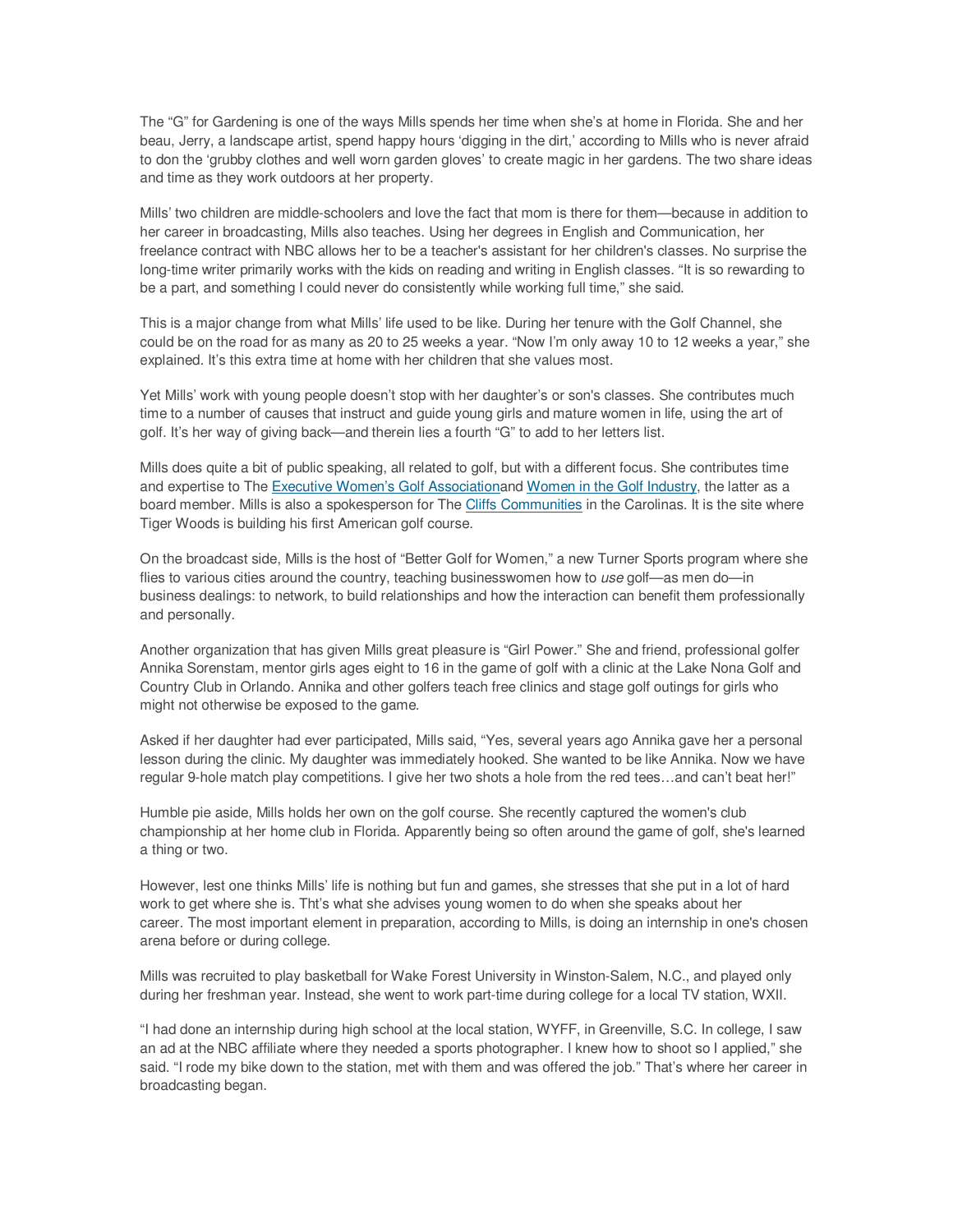The "G" for Gardening is one of the ways Mills spends her time when she's at home in Florida. She and her beau, Jerry, a landscape artist, spend happy hours 'digging in the dirt,' according to Mills who is never afraid to don the 'grubby clothes and well worn garden gloves' to create magic in her gardens. The two share ideas and time as they work outdoors at her property.

Mills' two children are middle-schoolers and love the fact that mom is there for them—because in addition to her career in broadcasting, Mills also teaches. Using her degrees in English and Communication, her freelance contract with NBC allows her to be a teacher's assistant for her children's classes. No surprise the long-time writer primarily works with the kids on reading and writing in English classes. "It is so rewarding to be a part, and something I could never do consistently while working full time," she said.

This is a major change from what Mills' life used to be like. During her tenure with the Golf Channel, she could be on the road for as many as 20 to 25 weeks a year. "Now I'm only away 10 to 12 weeks a year," she explained. It's this extra time at home with her children that she values most.

Yet Mills' work with young people doesn't stop with her daughter's or son's classes. She contributes much time to a number of causes that instruct and guide young girls and mature women in life, using the art of golf. It's her way of giving back—and therein lies a fourth "G" to add to her letters list.

Mills does quite a bit of public speaking, all related to golf, but with a different focus. She contributes time and expertise to The Executive Women's Golf Associationand Women in the Golf Industry, the latter as a board member. Mills is also a spokesperson for The Cliffs Communities in the Carolinas. It is the site where Tiger Woods is building his first American golf course.

On the broadcast side, Mills is the host of "Better Golf for Women," a new Turner Sports program where she flies to various cities around the country, teaching businesswomen how to use golf—as men do—in business dealings: to network, to build relationships and how the interaction can benefit them professionally and personally.

Another organization that has given Mills great pleasure is "Girl Power." She and friend, professional golfer Annika Sorenstam, mentor girls ages eight to 16 in the game of golf with a clinic at the Lake Nona Golf and Country Club in Orlando. Annika and other golfers teach free clinics and stage golf outings for girls who might not otherwise be exposed to the game.

Asked if her daughter had ever participated, Mills said, "Yes, several years ago Annika gave her a personal lesson during the clinic. My daughter was immediately hooked. She wanted to be like Annika. Now we have regular 9-hole match play competitions. I give her two shots a hole from the red tees…and can't beat her!"

Humble pie aside, Mills holds her own on the golf course. She recently captured the women's club championship at her home club in Florida. Apparently being so often around the game of golf, she's learned a thing or two.

However, lest one thinks Mills' life is nothing but fun and games, she stresses that she put in a lot of hard work to get where she is. Tht's what she advises young women to do when she speaks about her career. The most important element in preparation, according to Mills, is doing an internship in one's chosen arena before or during college.

Mills was recruited to play basketball for Wake Forest University in Winston-Salem, N.C., and played only during her freshman year. Instead, she went to work part-time during college for a local TV station, WXII.

"I had done an internship during high school at the local station, WYFF, in Greenville, S.C. In college, I saw an ad at the NBC affiliate where they needed a sports photographer. I knew how to shoot so I applied," she said. "I rode my bike down to the station, met with them and was offered the job." That's where her career in broadcasting began.